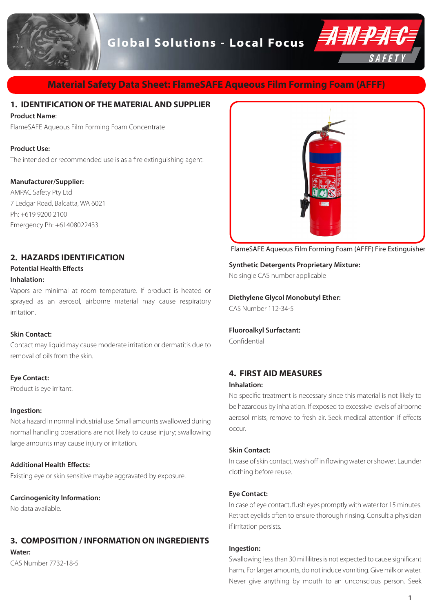# **Global Solutions - Local Focus**



# **Material Safety Data Sheet: FlameSAFE Aqueous Film Forming Foam (AFFF)**

# **1. IDENTIFICATION OF THE MATERIAL AND SUPPLIER**

#### **Product Name**:

FlameSAFE Aqueous Film Forming Foam Concentrate

#### **Product Use:**

The intended or recommended use is as a fire extinguishing agent.

# **Manufacturer/Supplier:**

AMPAC Safety Pty Ltd 7 Ledgar Road, Balcatta, WA 6021 Ph: +619 9200 2100 Emergency Ph: +61408022433

# **2. HAZARDS IDENTIFICATION**

## **Potential Health Effects Inhalation:**

Vapors are minimal at room temperature. If product is heated or sprayed as an aerosol, airborne material may cause respiratory irritation.

#### **Skin Contact:**

Contact may liquid may cause moderate irritation or dermatitis due to removal of oils from the skin.

#### **Eye Contact:**

Product is eye irritant.

#### **Ingestion:**

Not a hazard in normal industrial use. Small amounts swallowed during normal handling operations are not likely to cause injury; swallowing large amounts may cause injury or irritation.

# **Additional Health Effects:**

Existing eye or skin sensitive maybe aggravated by exposure.

#### **Carcinogenicity Information:**

No data available.

# **3. COMPOSITION / INFORMATION ON INGREDIENTS**

**Water:**

CAS Number 7732-18-5



FlameSAFE Aqueous Film Forming Foam (AFFF) Fire Extinguisher

#### **Synthetic Detergents Proprietary Mixture:**

No single CAS number applicable

# **Diethylene Glycol Monobutyl Ether:**

CAS Number 112-34-5

# **Fluoroalkyl Surfactant:**

Confidential

# **4. FIRST AID MEASURES**

## **Inhalation:**

No specific treatment is necessary since this material is not likely to be hazardous by inhalation. If exposed to excessive levels of airborne aerosol mists, remove to fresh air. Seek medical attention if effects occur.

#### **Skin Contact:**

In case of skin contact, wash off in flowing water or shower. Launder clothing before reuse.

#### **Eye Contact:**

In case of eye contact, flush eyes promptly with water for 15 minutes. Retract eyelids often to ensure thorough rinsing. Consult a physician if irritation persists.

#### **Ingestion:**

Swallowing less than 30 millilitres is not expected to cause significant harm. For larger amounts, do not induce vomiting. Give milk or water. Never give anything by mouth to an unconscious person. Seek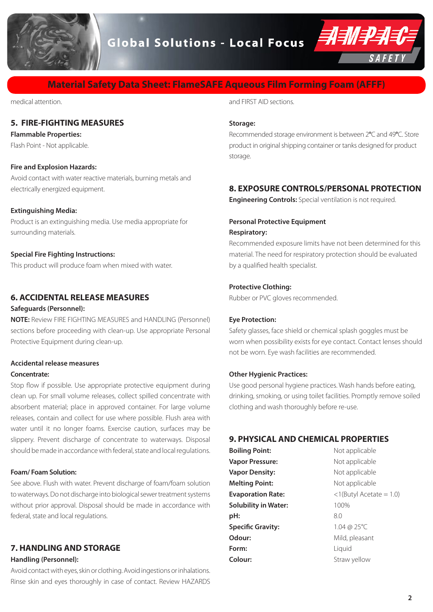



# **Material Safety Data Sheet: FlameSAFE Aqueous Film Forming Foam (AFFF)**

medical attention.

# **5. FIRE-FIGHTING MEASURES**

#### **Flammable Properties:**

Flash Point - Not applicable.

#### **Fire and Explosion Hazards:**

Avoid contact with water reactive materials, burning metals and electrically energized equipment.

#### **Extinguishing Media:**

Product is an extinguishing media. Use media appropriate for surrounding materials.

#### **Special Fire Fighting Instructions:**

This product will produce foam when mixed with water.

## **6. ACCIDENTAL RELEASE MEASURES**

#### **Safeguards (Personnel):**

**NOTE:** Review FIRE FIGHTING MEASURES and HANDLING (Personnel) sections before proceeding with clean-up. Use appropriate Personal Protective Equipment during clean-up.

# **Accidental release measures**

#### **Concentrate:**

Stop flow if possible. Use appropriate protective equipment during clean up. For small volume releases, collect spilled concentrate with absorbent material; place in approved container. For large volume releases, contain and collect for use where possible. Flush area with water until it no longer foams. Exercise caution, surfaces may be slippery. Prevent discharge of concentrate to waterways. Disposal should be made in accordance with federal, state and local regulations.

#### **Foam/ Foam Solution:**

See above. Flush with water. Prevent discharge of foam/foam solution to waterways. Do not discharge into biological sewer treatment systems without prior approval. Disposal should be made in accordance with federal, state and local regulations.

# **7. HANDLING AND STORAGE**

## **Handling (Personnel):**

Avoid contact with eyes, skin or clothing. Avoid ingestions or inhalations. Rinse skin and eyes thoroughly in case of contact. Review HAZARDS and FIRST AID sections.

#### **Storage:**

Recommended storage environment is between 2**°**C and 49**°**C. Store product in original shipping container or tanks designed for product storage.

# **8. EXPOSURE CONTROLS/PERSONAL PROTECTION**

**Engineering Controls:** Special ventilation is not required.

# **Personal Protective Equipment Respiratory:**

Recommended exposure limits have not been determined for this material. The need for respiratory protection should be evaluated by a qualified health specialist.

#### **Protective Clothing:**

Rubber or PVC gloves recommended.

#### **Eye Protection:**

Safety glasses, face shield or chemical splash goggles must be worn when possibility exists for eye contact. Contact lenses should not be worn. Eye wash facilities are recommended.

#### **Other Hygienic Practices:**

Use good personal hygiene practices. Wash hands before eating, drinking, smoking, or using toilet facilities. Promptly remove soiled clothing and wash thoroughly before re-use.

#### **9. PHYSICAL AND CHEMICAL PROPERTIES**

| <b>Boiling Point:</b>       | Not applicable             |
|-----------------------------|----------------------------|
| <b>Vapor Pressure:</b>      | Not applicable             |
| <b>Vapor Density:</b>       | Not applicable             |
| <b>Melting Point:</b>       | Not applicable             |
| <b>Evaporation Rate:</b>    | $<$ 1(Butyl Acetate = 1.0) |
| <b>Solubility in Water:</b> | 100%                       |
| pH:                         | 8.0                        |
| <b>Specific Gravity:</b>    | 1.04 @ 25°C                |
| Odour:                      | Mild, pleasant             |
| Form:                       | Liguid                     |
| Colour:                     | Straw yellow               |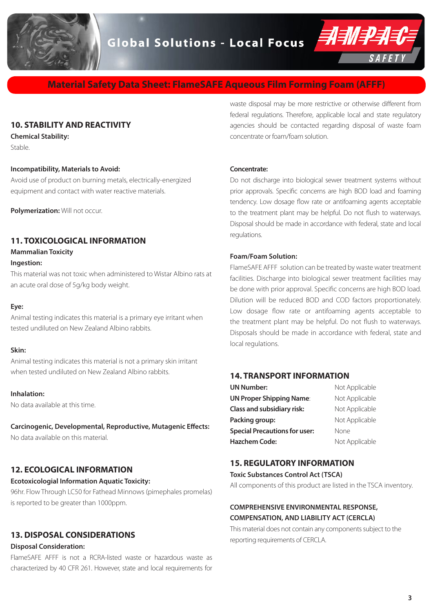



# **Material Safety Data Sheet: FlameSAFE Aqueous Film Forming Foam (AFFF)**

# **10. STABILITY AND REACTIVITY**

**Chemical Stability:** Stable.

#### **Incompatibility, Materials to Avoid:**

Avoid use of product on burning metals, electrically-energized equipment and contact with water reactive materials.

**Polymerization: Will not occur.** 

# **11. TOXICOLOGICAL INFORMATION**

**Mammalian Toxicity**

#### **Ingestion:**

This material was not toxic when administered to Wistar Albino rats at an acute oral dose of 5g/kg body weight.

#### **Eye:**

Animal testing indicates this material is a primary eye irritant when tested undiluted on New Zealand Albino rabbits.

#### **Skin:**

Animal testing indicates this material is not a primary skin irritant when tested undiluted on New Zealand Albino rabbits.

#### **Inhalation:**

No data available at this time.

#### **Carcinogenic, Developmental, Reproductive, Mutagenic Effects:**

No data available on this material.

# **12. ECOLOGICAL INFORMATION**

#### **Ecotoxicologial Information Aquatic Toxicity:**

96hr. Flow Through LC50 for Fathead Minnows (pimephales promelas) is reported to be greater than 1000ppm.

#### **13. DISPOSAL CONSIDERATIONS**

#### **Disposal Consideration:**

FlameSAFE AFFF is not a RCRA-listed waste or hazardous waste as characterized by 40 CFR 261. However, state and local requirements for waste disposal may be more restrictive or otherwise different from federal regulations. Therefore, applicable local and state regulatory agencies should be contacted regarding disposal of waste foam concentrate or foam/foam solution.

#### **Concentrate:**

Do not discharge into biological sewer treatment systems without prior approvals. Specific concerns are high BOD load and foaming tendency. Low dosage flow rate or antifoaming agents acceptable to the treatment plant may be helpful. Do not flush to waterways. Disposal should be made in accordance with federal, state and local regulations.

#### **Foam/Foam Solution:**

FlameSAFE AFFF solution can be treated by waste water treatment facilities. Discharge into biological sewer treatment facilities may be done with prior approval. Specific concerns are high BOD load. Dilution will be reduced BOD and COD factors proportionately. Low dosage flow rate or antifoaming agents acceptable to the treatment plant may be helpful. Do not flush to waterways. Disposals should be made in accordance with federal, state and local regulations.

#### **14. TRANSPORT INFORMATION**

| <b>UN Number:</b>                    | Not Applicable |
|--------------------------------------|----------------|
| <b>UN Proper Shipping Name:</b>      | Not Applicable |
| <b>Class and subsidiary risk:</b>    | Not Applicable |
| Packing group:                       | Not Applicable |
| <b>Special Precautions for user:</b> | None           |
| <b>Hazchem Code:</b>                 | Not Applicable |

#### **15. REGULATORY INFORMATION**

#### **Toxic Substances Control Act (TSCA)**

All components of this product are listed in the TSCA inventory.

# **COMPREHENSIVE ENVIRONMENTAL RESPONSE, COMPENSATION, AND LIABILITY ACT (CERCLA)**

This material does not contain any components subject to the reporting requirements of CERCLA.